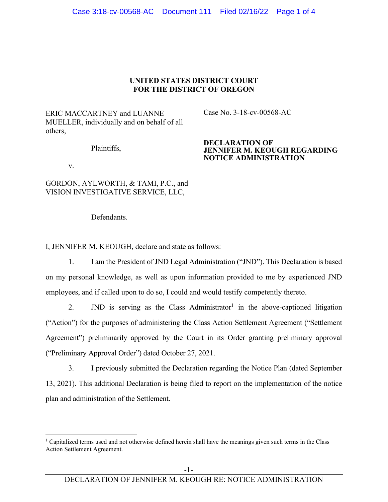# **UNITED STATES DISTRICT COURT FOR THE DISTRICT OF OREGON**

ERIC MACCARTNEY and LUANNE MUELLER, individually and on behalf of all others,

Plaintiffs,

v.

GORDON, AYLWORTH, & TAMI, P.C., and VISION INVESTIGATIVE SERVICE, LLC,

Defendants.

Case No. 3-18-cv-00568-AC

#### **DECLARATION OF JENNIFER M. KEOUGH REGARDING NOTICE ADMINISTRATION**

I, JENNIFER M. KEOUGH, declare and state as follows:

1. I am the President of JND Legal Administration ("JND"). This Declaration is based on my personal knowledge, as well as upon information provided to me by experienced JND employees, and if called upon to do so, I could and would testify competently thereto.

2.  $JND$  is serving as the Class Administrator<sup>1</sup> in the above-captioned litigation ("Action") for the purposes of administering the Class Action Settlement Agreement ("Settlement Agreement") preliminarily approved by the Court in its Order granting preliminary approval ("Preliminary Approval Order") dated October 27, 2021.

3. I previously submitted the Declaration regarding the Notice Plan (dated September 13, 2021). This additional Declaration is being filed to report on the implementation of the notice plan and administration of the Settlement.

<sup>&</sup>lt;sup>1</sup> Capitalized terms used and not otherwise defined herein shall have the meanings given such terms in the Class Action Settlement Agreement.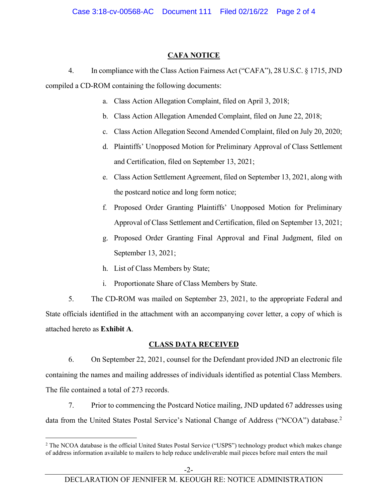# **CAFA NOTICE**

4. In compliance with the Class Action Fairness Act ("CAFA"), 28 U.S.C. § 1715, JND compiled a CD-ROM containing the following documents:

- a. Class Action Allegation Complaint, filed on April 3, 2018;
- b. Class Action Allegation Amended Complaint, filed on June 22, 2018;
- c. Class Action Allegation Second Amended Complaint, filed on July 20, 2020;
- d. Plaintiffs' Unopposed Motion for Preliminary Approval of Class Settlement and Certification, filed on September 13, 2021;
- e. Class Action Settlement Agreement, filed on September 13, 2021, along with the postcard notice and long form notice;
- f. Proposed Order Granting Plaintiffs' Unopposed Motion for Preliminary Approval of Class Settlement and Certification, filed on September 13, 2021;
- g. Proposed Order Granting Final Approval and Final Judgment, filed on September 13, 2021;
- h. List of Class Members by State;
- i. Proportionate Share of Class Members by State.

5. The CD-ROM was mailed on September 23, 2021, to the appropriate Federal and State officials identified in the attachment with an accompanying cover letter, a copy of which is attached hereto as **Exhibit A**.

# **CLASS DATA RECEIVED**

6. On September 22, 2021, counsel for the Defendant provided JND an electronic file containing the names and mailing addresses of individuals identified as potential Class Members. The file contained a total of 273 records.

7. Prior to commencing the Postcard Notice mailing, JND updated 67 addresses using data from the United States Postal Service's National Change of Address ("NCOA") database.<sup>2</sup>

<sup>&</sup>lt;sup>2</sup> The NCOA database is the official United States Postal Service ("USPS") technology product which makes change of address information available to mailers to help reduce undeliverable mail pieces before mail enters the mail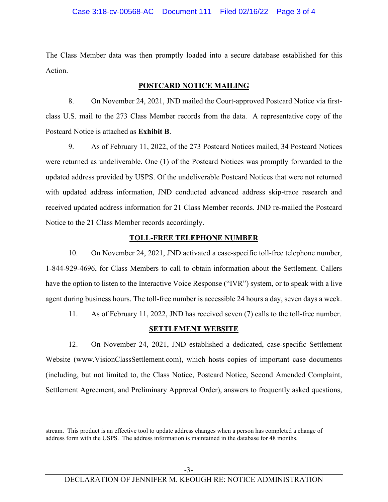The Class Member data was then promptly loaded into a secure database established for this Action.

# **POSTCARD NOTICE MAILING**

8. On November 24, 2021, JND mailed the Court-approved Postcard Notice via firstclass U.S. mail to the 273 Class Member records from the data. A representative copy of the Postcard Notice is attached as **Exhibit B**.

9. As of February 11, 2022, of the 273 Postcard Notices mailed, 34 Postcard Notices were returned as undeliverable. One (1) of the Postcard Notices was promptly forwarded to the updated address provided by USPS. Of the undeliverable Postcard Notices that were not returned with updated address information, JND conducted advanced address skip-trace research and received updated address information for 21 Class Member records. JND re-mailed the Postcard Notice to the 21 Class Member records accordingly.

# **TOLL-FREE TELEPHONE NUMBER**

10. On November 24, 2021, JND activated a case-specific toll-free telephone number, 1-844-929-4696, for Class Members to call to obtain information about the Settlement. Callers have the option to listen to the Interactive Voice Response ("IVR") system, or to speak with a live agent during business hours. The toll-free number is accessible 24 hours a day, seven days a week.

11. As of February 11, 2022, JND has received seven (7) calls to the toll-free number.

# **SETTLEMENT WEBSITE**

12. On November 24, 2021, JND established a dedicated, case-specific Settlement Website (www.VisionClassSettlement.com), which hosts copies of important case documents (including, but not limited to, the Class Notice, Postcard Notice, Second Amended Complaint, Settlement Agreement, and Preliminary Approval Order), answers to frequently asked questions,

stream. This product is an effective tool to update address changes when a person has completed a change of address form with the USPS. The address information is maintained in the database for 48 months.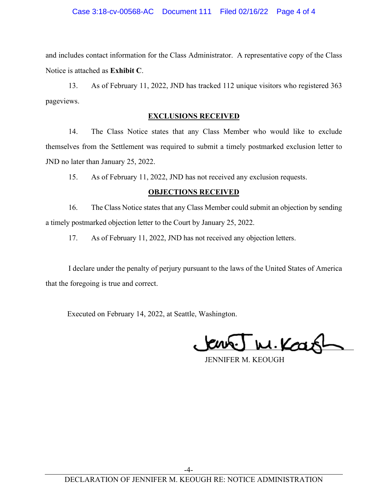and includes contact information for the Class Administrator. A representative copy of the Class Notice is attached as **Exhibit C**.

13. As of February 11, 2022, JND has tracked 112 unique visitors who registered 363 pageviews.

# **EXCLUSIONS RECEIVED**

14. The Class Notice states that any Class Member who would like to exclude themselves from the Settlement was required to submit a timely postmarked exclusion letter to JND no later than January 25, 2022.

15. As of February 11, 2022, JND has not received any exclusion requests.

# **OBJECTIONS RECEIVED**

16. The Class Notice states that any Class Member could submit an objection by sending a timely postmarked objection letter to the Court by January 25, 2022.

17. As of February 11, 2022, JND has not received any objection letters.

 I declare under the penalty of perjury pursuant to the laws of the United States of America that the foregoing is true and correct.

Executed on February 14, 2022, at Seattle, Washington.

W.Kar

JENNIFER M. KEOUGH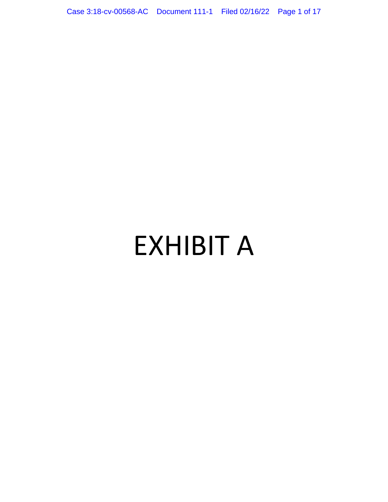Case 3:18-cv-00568-AC Document 111-1 Filed 02/16/22 Page 1 of 17

# EXHIBIT A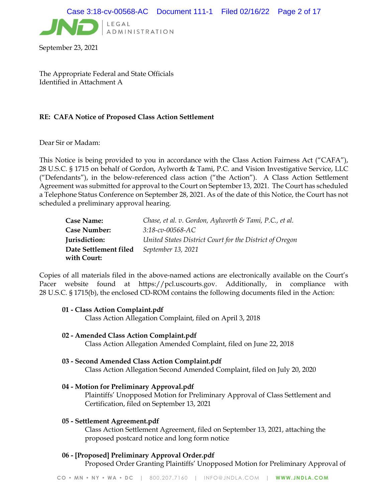

September 23, 2021

The Appropriate Federal and State Officials Identified in Attachment A

#### RE: CAFA Notice of Proposed Class Action Settlement

Dear Sir or Madam:

This Notice is being provided to you in accordance with the Class Action Fairness Act ("CAFA"), 28 U.S.C. § 1715 on behalf of Gordon, Aylworth & Tami, P.C. and Vision Investigative Service, LLC ("Defendants"), in the below-referenced class action ("the Action"). A Class Action Settlement Agreement was submitted for approval to the Court on September 13, 2021. The Court has scheduled a Telephone Status Conference on September 28, 2021. As of the date of this Notice, the Court has not scheduled a preliminary approval hearing.

| <b>Case Name:</b>     | Chase, et al. v. Gordon, Aylworth & Tami, P.C., et al.  |
|-----------------------|---------------------------------------------------------|
| <b>Case Number:</b>   | $3:18$ -cv-00568-AC                                     |
| Jurisdiction:         | United States District Court for the District of Oregon |
| Date Settlement filed | September 13, 2021                                      |
| with Court:           |                                                         |

Copies of all materials filed in the above-named actions are electronically available on the Court's Pacer website found at https://pcl.uscourts.gov. Additionally, in compliance with 28 U.S.C. § 1715(b), the enclosed CD-ROM contains the following documents filed in the Action:

#### 01 - Class Action Complaint.pdf

Class Action Allegation Complaint, filed on April 3, 2018

02 - Amended Class Action Complaint.pdf

Class Action Allegation Amended Complaint, filed on June 22, 2018

#### 03 - Second Amended Class Action Complaint.pdf

Class Action Allegation Second Amended Complaint, filed on July 20, 2020

#### 04 - Motion for Preliminary Approval.pdf

Plaintiffs' Unopposed Motion for Preliminary Approval of Class Settlement and Certification, filed on September 13, 2021

#### 05 - Settlement Agreement.pdf

Class Action Settlement Agreement, filed on September 13, 2021, attaching the proposed postcard notice and long form notice

#### 06 - [Proposed] Preliminary Approval Order.pdf

Proposed Order Granting Plaintiffs' Unopposed Motion for Preliminary Approval of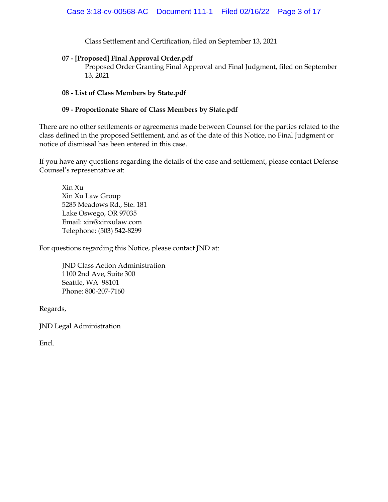Class Settlement and Certification, filed on September 13, 2021

#### 07 - [Proposed] Final Approval Order.pdf

Proposed Order Granting Final Approval and Final Judgment, filed on September 13, 2021

#### 08 - List of Class Members by State.pdf

#### 09 - Proportionate Share of Class Members by State.pdf

There are no other settlements or agreements made between Counsel for the parties related to the class defined in the proposed Settlement, and as of the date of this Notice, no Final Judgment or notice of dismissal has been entered in this case.

If you have any questions regarding the details of the case and settlement, please contact Defense Counsel's representative at:

Xin Xu Xin Xu Law Group 5285 Meadows Rd., Ste. 181 Lake Oswego, OR 97035 Email: xin@xinxulaw.com Telephone: (503) 542-8299

For questions regarding this Notice, please contact JND at:

JND Class Action Administration 1100 2nd Ave, Suite 300 Seattle, WA 98101 Phone: 800-207-7160

Regards,

JND Legal Administration

Encl.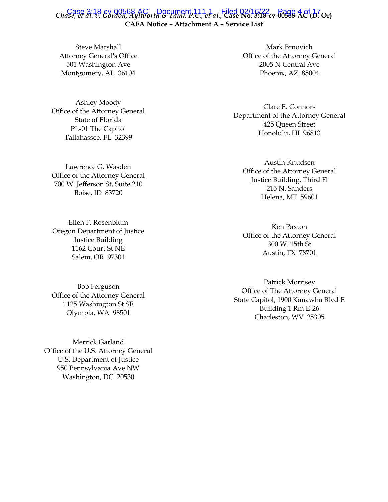# Case 3:18-cv-00568-AC Document 111-1 Filed 02/16/22<br>Chase, et al. v. Gordon, Aylworth & Tami, P.C., et al., Case No. 3:18-cv-00568-AC(D. Or) CAFA Notice – Attachment A – Service List

Steve Marshall Attorney General's Office 501 Washington Ave Montgomery, AL 36104

Ashley Moody Office of the Attorney General State of Florida PL‐01 The Capitol Tallahassee, FL 32399

Lawrence G. Wasden Office of the Attorney General 700 W. Jefferson St, Suite 210 Boise, ID 83720

Ellen F. Rosenblum Oregon Department of Justice Justice Building 1162 Court St NE Salem, OR 97301

Bob Ferguson Office of the Attorney General 1125 Washington St SE Olympia, WA 98501

Merrick Garland Office of the U.S. Attorney General U.S. Department of Justice 950 Pennsylvania Ave NW Washington, DC 20530

Mark Brnovich Office of the Attorney General 2005 N Central Ave Phoenix, AZ 85004

Clare E. Connors Department of the Attorney General 425 Queen Street Honolulu, HI 96813

Austin Knudsen Office of the Attorney General Justice Building, Third Fl 215 N. Sanders Helena, MT 59601

Ken Paxton Office of the Attorney General 300 W. 15th St Austin, TX 78701

Patrick Morrisey Office of The Attorney General State Capitol, 1900 Kanawha Blvd E Building 1 Rm E-26 Charleston, WV 25305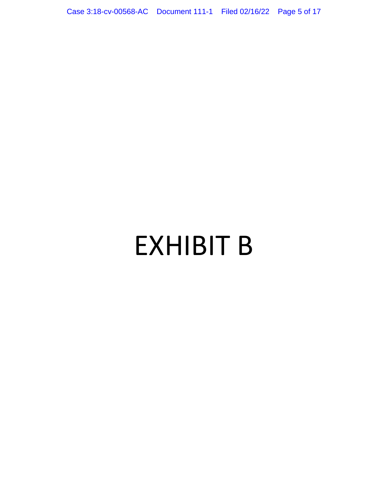Case 3:18-cv-00568-AC Document 111-1 Filed 02/16/22 Page 5 of 17

# EXHIBIT B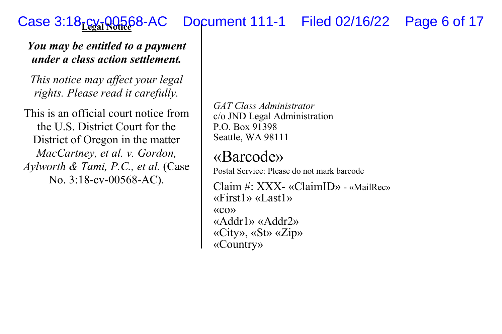#### **Case 3:18-cy-00568-AC** Document 111-1 Filed 02/16/22 Page 6 of 17

#### *You may be entitled to a payment under a class action settlement.*

*This notice may affect your legal rights. Please read it carefully.* 

This is an official court notice from the U.S. District Court for the District of Oregon in the matter *MacCartney, et al. v. Gordon, Aylworth & Tami, P.C., et al.* (Case No. 3:18-cv-00568-AC).

*GAT Class Administrator* c/o JND Legal Administration P.O. Box 91398 Seattle, WA 98111

# «Barcode»

Postal Service: Please do not mark barcode

Claim #: XXX- «ClaimID» - «MailRec»«First1» «Last1» «co» «Addr1» «Addr2» «City», «St» «Zip» «Country»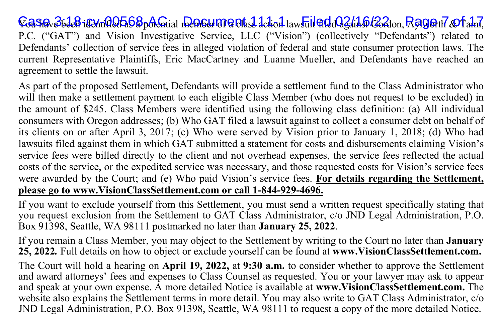VoiSir 3i den itentified as potential member 171 a class detton laws<del>uit file (de Jami), Cord</del>on, Rolbsteir & Tami, P.C. ("GAT") and Vision Investigative Service, LLC ("Vision") (collectively "Defendants") related to Defendants' collection of service fees in alleged violation of federal and state consumer protection laws. The current Representative Plaintiffs, Eric MacCartney and Luanne Mueller, and Defendants have reached an agreement to settle the lawsuit.

As part of the proposed Settlement, Defendants will provide a settlement fund to the Class Administrator who will then make a settlement payment to each eligible Class Member (who does not request to be excluded) in the amount of \$245. Class Members were identified using the following class definition: (a) All individual consumers with Oregon addresses; (b) Who GAT filed a lawsuit against to collect a consumer debt on behalf of its clients on or after April 3, 2017; (c) Who were served by Vision prior to January 1, 2018; (d) Who had lawsuits filed against them in which GAT submitted a statement for costs and disbursements claiming Vision's service fees were billed directly to the client and not overhead expenses, the service fees reflected the actual costs of the service, or the expedited service was necessary, and those requested costs for Vision's service fees were awarded by the Court; and (e) Who paid Vision's service fees. **For details regarding the Settlement, please go to www.VisionClassSettlement.com or call 1-844-929-4696.**

If you want to exclude yourself from this Settlement, you must send a written request specifically stating that you request exclusion from the Settlement to GAT Class Administrator, c/o JND Legal Administration, P.O. Box 91398, Seattle, WA 98111 postmarked no later than **January 25, 2022**.

If you remain a Class Member, you may object to the Settlement by writing to the Court no later than **January 25, 2022***.* Full details on how to object or exclude yourself can be found at **www.VisionClassSettlement.com.** 

The Court will hold a hearing on **April 19, 2022,** at **9:30 a.m.** to consider whether to approve the Settlement and award attorneys' fees and expenses to Class Counsel as requested. You or your lawyer may ask to appear and speak at your own expense. A more detailed Notice is available at **www.VisionClassSettlement.com.** The website also explains the Settlement terms in more detail. You may also write to GAT Class Administrator, c/o JND Legal Administration, P.O. Box 91398, Seattle, WA 98111 to request a copy of the more detailed Notice.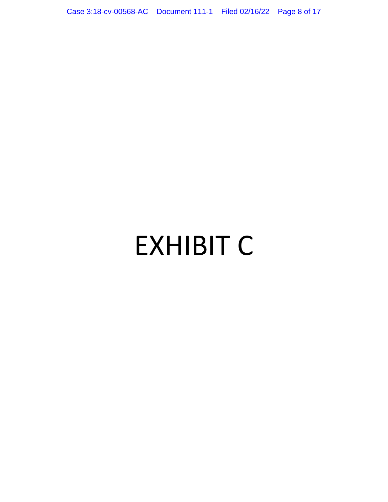Case 3:18-cv-00568-AC Document 111-1 Filed 02/16/22 Page 8 of 17

# EXHIBIT C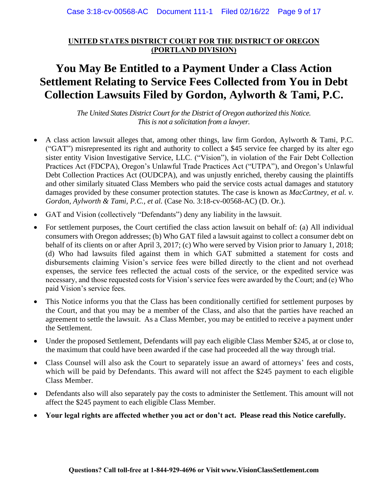# **UNITED STATES DISTRICT COURT FOR THE DISTRICT OF OREGON (PORTLAND DIVISION)**

# **You May Be Entitled to a Payment Under a Class Action Settlement Relating to Service Fees Collected from You in Debt Collection Lawsuits Filed by Gordon, Aylworth & Tami, P.C.**

*The United States District Court for the District of Oregon authorized this Notice. This is not a solicitation from a lawyer.*

- A class action lawsuit alleges that, among other things, law firm Gordon, Aylworth & Tami, P.C. ("GAT") misrepresented its right and authority to collect a \$45 service fee charged by its alter ego sister entity Vision Investigative Service, LLC. ("Vision"), in violation of the Fair Debt Collection Practices Act (FDCPA), Oregon's Unlawful Trade Practices Act ("UTPA"), and Oregon's Unlawful Debt Collection Practices Act (OUDCPA), and was unjustly enriched, thereby causing the plaintiffs and other similarly situated Class Members who paid the service costs actual damages and statutory damages provided by these consumer protection statutes. The case is known as *MacCartney, et al. v. Gordon, Aylworth & Tami, P.C., et al.* (Case No. 3:18-cv-00568-AC) (D. Or.).
- GAT and Vision (collectively "Defendants") deny any liability in the lawsuit.
- For settlement purposes, the Court certified the class action lawsuit on behalf of: (a) All individual consumers with Oregon addresses; (b) Who GAT filed a lawsuit against to collect a consumer debt on behalf of its clients on or after April 3, 2017; (c) Who were served by Vision prior to January 1, 2018; (d) Who had lawsuits filed against them in which GAT submitted a statement for costs and disbursements claiming Vision's service fees were billed directly to the client and not overhead expenses, the service fees reflected the actual costs of the service, or the expedited service was necessary, and those requested costs for Vision's service fees were awarded by the Court; and (e) Who paid Vision's service fees.
- This Notice informs you that the Class has been conditionally certified for settlement purposes by the Court, and that you may be a member of the Class, and also that the parties have reached an agreement to settle the lawsuit. As a Class Member, you may be entitled to receive a payment under the Settlement.
- Under the proposed Settlement, Defendants will pay each eligible Class Member \$245, at or close to, the maximum that could have been awarded if the case had proceeded all the way through trial.
- Class Counsel will also ask the Court to separately issue an award of attorneys' fees and costs, which will be paid by Defendants. This award will not affect the \$245 payment to each eligible Class Member.
- Defendants also will also separately pay the costs to administer the Settlement. This amount will not affect the \$245 payment to each eligible Class Member.
- **Your legal rights are affected whether you act or don't act. Please read this Notice carefully.**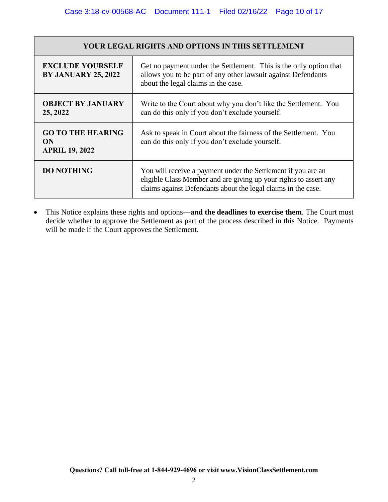| <b>YOUR LEGAL RIGHTS AND OPTIONS IN THIS SETTLEMENT</b> |                                                                                                                                                                                                     |  |
|---------------------------------------------------------|-----------------------------------------------------------------------------------------------------------------------------------------------------------------------------------------------------|--|
| <b>EXCLUDE YOURSELF</b><br><b>BY JANUARY 25, 2022</b>   | Get no payment under the Settlement. This is the only option that<br>allows you to be part of any other lawsuit against Defendants<br>about the legal claims in the case.                           |  |
| <b>OBJECT BY JANUARY</b><br>25, 2022                    | Write to the Court about why you don't like the Settlement. You<br>can do this only if you don't exclude yourself.                                                                                  |  |
| <b>GO TO THE HEARING</b><br>ON<br><b>APRIL 19, 2022</b> | Ask to speak in Court about the fairness of the Settlement. You<br>can do this only if you don't exclude yourself.                                                                                  |  |
| <b>DO NOTHING</b>                                       | You will receive a payment under the Settlement if you are an<br>eligible Class Member and are giving up your rights to assert any<br>claims against Defendants about the legal claims in the case. |  |

• This Notice explains these rights and options—**and the deadlines to exercise them**. The Court must decide whether to approve the Settlement as part of the process described in this Notice. Payments will be made if the Court approves the Settlement.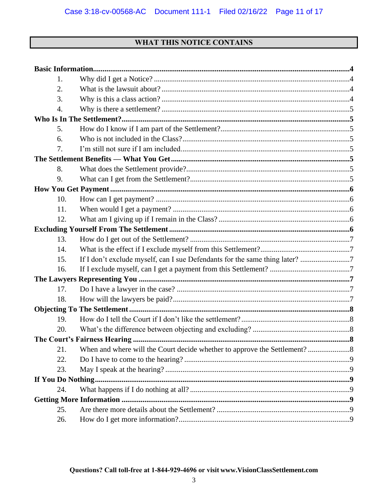# WHAT THIS NOTICE CONTAINS

| 1.  |                                                                             |  |
|-----|-----------------------------------------------------------------------------|--|
| 2.  |                                                                             |  |
| 3.  |                                                                             |  |
| 4.  |                                                                             |  |
|     |                                                                             |  |
| 5.  |                                                                             |  |
| 6.  |                                                                             |  |
| 7.  |                                                                             |  |
|     |                                                                             |  |
| 8.  |                                                                             |  |
| 9.  |                                                                             |  |
|     |                                                                             |  |
| 10. |                                                                             |  |
| 11. |                                                                             |  |
| 12. |                                                                             |  |
|     |                                                                             |  |
| 13. |                                                                             |  |
| 14. |                                                                             |  |
| 15. | If I don't exclude myself, can I sue Defendants for the same thing later? 7 |  |
| 16. |                                                                             |  |
|     |                                                                             |  |
| 17. |                                                                             |  |
| 18. |                                                                             |  |
|     |                                                                             |  |
| 19. |                                                                             |  |
| 20. |                                                                             |  |
|     |                                                                             |  |
|     |                                                                             |  |
| 22. |                                                                             |  |
| 23. |                                                                             |  |
|     |                                                                             |  |
| 24. |                                                                             |  |
|     |                                                                             |  |
| 25. |                                                                             |  |
| 26. |                                                                             |  |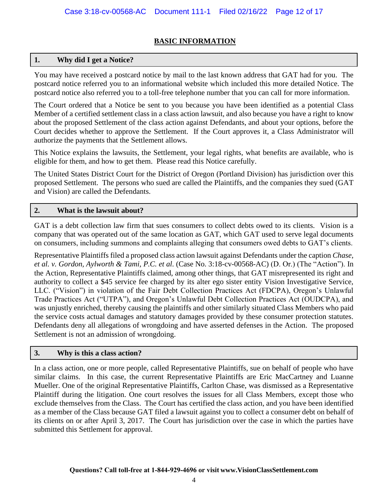# **BASIC INFORMATION**

# **1. Why did I get a Notice?**

You may have received a postcard notice by mail to the last known address that GAT had for you. The postcard notice referred you to an informational website which included this more detailed Notice. The postcard notice also referred you to a toll-free telephone number that you can call for more information.

The Court ordered that a Notice be sent to you because you have been identified as a potential Class Member of a certified settlement class in a class action lawsuit, and also because you have a right to know about the proposed Settlement of the class action against Defendants, and about your options, before the Court decides whether to approve the Settlement. If the Court approves it, a Class Administrator will authorize the payments that the Settlement allows.

This Notice explains the lawsuits, the Settlement, your legal rights, what benefits are available, who is eligible for them, and how to get them. Please read this Notice carefully.

The United States District Court for the District of Oregon (Portland Division) has jurisdiction over this proposed Settlement. The persons who sued are called the Plaintiffs, and the companies they sued (GAT and Vision) are called the Defendants.

# **2. What is the lawsuit about?**

GAT is a debt collection law firm that sues consumers to collect debts owed to its clients. Vision is a company that was operated out of the same location as GAT, which GAT used to serve legal documents on consumers, including summons and complaints alleging that consumers owed debts to GAT's clients.

Representative Plaintiffs filed a proposed class action lawsuit against Defendants under the caption *Chase, et al. v. Gordon, Aylworth & Tami, P.C. et al.* (Case No. 3:18-cv-00568-AC) (D. Or.) (The "Action"). In the Action, Representative Plaintiffs claimed, among other things, that GAT misrepresented its right and authority to collect a \$45 service fee charged by its alter ego sister entity Vision Investigative Service, LLC. ("Vision") in violation of the Fair Debt Collection Practices Act (FDCPA), Oregon's Unlawful Trade Practices Act ("UTPA"), and Oregon's Unlawful Debt Collection Practices Act (OUDCPA), and was unjustly enriched, thereby causing the plaintiffs and other similarly situated Class Members who paid the service costs actual damages and statutory damages provided by these consumer protection statutes. Defendants deny all allegations of wrongdoing and have asserted defenses in the Action. The proposed Settlement is not an admission of wrongdoing.

#### **3. Why is this a class action?**

In a class action, one or more people, called Representative Plaintiffs, sue on behalf of people who have similar claims. In this case, the current Representative Plaintiffs are Eric MacCartney and Luanne Mueller. One of the original Representative Plaintiffs, Carlton Chase, was dismissed as a Representative Plaintiff during the litigation. One court resolves the issues for all Class Members, except those who exclude themselves from the Class. The Court has certified the class action, and you have been identified as a member of the Class because GAT filed a lawsuit against you to collect a consumer debt on behalf of its clients on or after April 3, 2017. The Court has jurisdiction over the case in which the parties have submitted this Settlement for approval.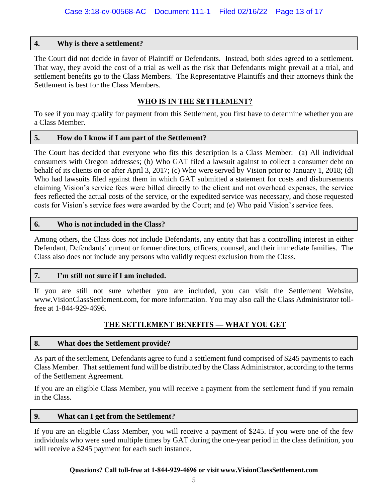# **4. Why is there a settlement?**

The Court did not decide in favor of Plaintiff or Defendants. Instead, both sides agreed to a settlement. That way, they avoid the cost of a trial as well as the risk that Defendants might prevail at a trial, and settlement benefits go to the Class Members. The Representative Plaintiffs and their attorneys think the Settlement is best for the Class Members.

# **WHO IS IN THE SETTLEMENT?**

To see if you may qualify for payment from this Settlement, you first have to determine whether you are a Class Member.

#### **5. How do I know if I am part of the Settlement?**

The Court has decided that everyone who fits this description is a Class Member: (a) All individual consumers with Oregon addresses; (b) Who GAT filed a lawsuit against to collect a consumer debt on behalf of its clients on or after April 3, 2017; (c) Who were served by Vision prior to January 1, 2018; (d) Who had lawsuits filed against them in which GAT submitted a statement for costs and disbursements claiming Vision's service fees were billed directly to the client and not overhead expenses, the service fees reflected the actual costs of the service, or the expedited service was necessary, and those requested costs for Vision's service fees were awarded by the Court; and (e) Who paid Vision's service fees.

#### **6. Who is not included in the Class?**

Among others, the Class does *not* include Defendants, any entity that has a controlling interest in either Defendant, Defendants' current or former directors, officers, counsel, and their immediate families. The Class also does not include any persons who validly request exclusion from the Class.

#### **7. I'm still not sure if I am included.**

If you are still not sure whether you are included, you can visit the Settlement Website, www.VisionClassSettlement.com, for more information. You may also call the Class Administrator tollfree at 1-844-929-4696.

# **THE SETTLEMENT BENEFITS — WHAT YOU GET**

#### **8. What does the Settlement provide?**

As part of the settlement, Defendants agree to fund a settlement fund comprised of \$245 payments to each Class Member. That settlement fund will be distributed by the Class Administrator, according to the terms of the Settlement Agreement.

If you are an eligible Class Member, you will receive a payment from the settlement fund if you remain in the Class.

### **9. What can I get from the Settlement?**

If you are an eligible Class Member, you will receive a payment of \$245. If you were one of the few individuals who were sued multiple times by GAT during the one-year period in the class definition, you will receive a \$245 payment for each such instance.

#### **Questions? Call toll-free at 1-844-929-4696 or visit www.VisionClassSettlement.com**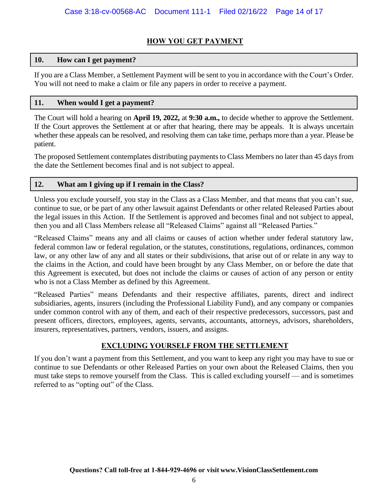# **HOW YOU GET PAYMENT**

# **10. How can I get payment?**

If you are a Class Member, a Settlement Payment will be sent to you in accordance with the Court's Order. You will not need to make a claim or file any papers in order to receive a payment.

# **11. When would I get a payment?**

The Court will hold a hearing on **April 19, 2022,** at **9:30 a.m.,** to decide whether to approve the Settlement. If the Court approves the Settlement at or after that hearing, there may be appeals. It is always uncertain whether these appeals can be resolved, and resolving them can take time, perhaps more than a year. Please be patient.

The proposed Settlement contemplates distributing payments to Class Members no later than 45 days from the date the Settlement becomes final and is not subject to appeal.

# **12. What am I giving up if I remain in the Class?**

Unless you exclude yourself, you stay in the Class as a Class Member, and that means that you can't sue, continue to sue, or be part of any other lawsuit against Defendants or other related Released Parties about the legal issues in this Action. If the Settlement is approved and becomes final and not subject to appeal, then you and all Class Members release all "Released Claims" against all "Released Parties."

"Released Claims" means any and all claims or causes of action whether under federal statutory law, federal common law or federal regulation, or the statutes, constitutions, regulations, ordinances, common law, or any other law of any and all states or their subdivisions, that arise out of or relate in any way to the claims in the Action, and could have been brought by any Class Member, on or before the date that this Agreement is executed, but does not include the claims or causes of action of any person or entity who is not a Class Member as defined by this Agreement.

"Released Parties" means Defendants and their respective affiliates, parents, direct and indirect subsidiaries, agents, insurers (including the Professional Liability Fund), and any company or companies under common control with any of them, and each of their respective predecessors, successors, past and present officers, directors, employees, agents, servants, accountants, attorneys, advisors, shareholders, insurers, representatives, partners, vendors, issuers, and assigns.

# **EXCLUDING YOURSELF FROM THE SETTLEMENT**

If you don't want a payment from this Settlement, and you want to keep any right you may have to sue or continue to sue Defendants or other Released Parties on your own about the Released Claims, then you must take steps to remove yourself from the Class. This is called excluding yourself — and is sometimes referred to as "opting out" of the Class.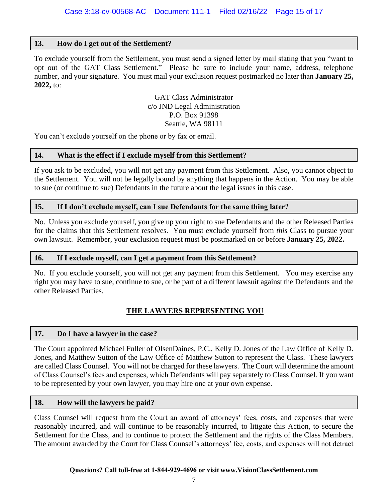# **13. How do I get out of the Settlement?**

To exclude yourself from the Settlement, you must send a signed letter by mail stating that you "want to opt out of the GAT Class Settlement." Please be sure to include your name, address, telephone number, and your signature. You must mail your exclusion request postmarked no later than **January 25, 2022,** to:

> GAT Class Administrator c/o JND Legal Administration P.O. Box 91398 Seattle, WA 98111

You can't exclude yourself on the phone or by fax or email.

#### **14. What is the effect if I exclude myself from this Settlement?**

If you ask to be excluded, you will not get any payment from this Settlement. Also, you cannot object to the Settlement. You will not be legally bound by anything that happens in the Action. You may be able to sue (or continue to sue) Defendants in the future about the legal issues in this case.

#### **15. If I don't exclude myself, can I sue Defendants for the same thing later?**

No. Unless you exclude yourself, you give up your right to sue Defendants and the other Released Parties for the claims that this Settlement resolves. You must exclude yourself from *this* Class to pursue your own lawsuit. Remember, your exclusion request must be postmarked on or before **January 25, 2022.**

#### **16. If I exclude myself, can I get a payment from this Settlement?**

No. If you exclude yourself, you will not get any payment from this Settlement. You may exercise any right you may have to sue, continue to sue, or be part of a different lawsuit against the Defendants and the other Released Parties.

# **THE LAWYERS REPRESENTING YOU**

#### **17. Do I have a lawyer in the case?**

The Court appointed Michael Fuller of OlsenDaines, P.C., Kelly D. Jones of the Law Office of Kelly D. Jones, and Matthew Sutton of the Law Office of Matthew Sutton to represent the Class. These lawyers are called Class Counsel. You will not be charged for these lawyers. The Court will determine the amount of Class Counsel's fees and expenses, which Defendants will pay separately to Class Counsel. If you want to be represented by your own lawyer, you may hire one at your own expense.

#### **18. How will the lawyers be paid?**

Class Counsel will request from the Court an award of attorneys' fees, costs, and expenses that were reasonably incurred, and will continue to be reasonably incurred, to litigate this Action, to secure the Settlement for the Class, and to continue to protect the Settlement and the rights of the Class Members. The amount awarded by the Court for Class Counsel's attorneys' fee, costs, and expenses will not detract

#### **Questions? Call toll-free at 1-844-929-4696 or visit www.VisionClassSettlement.com**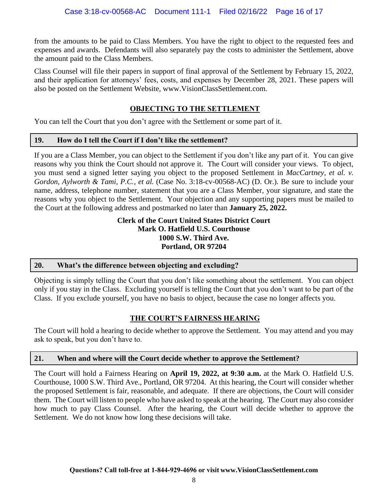from the amounts to be paid to Class Members. You have the right to object to the requested fees and expenses and awards. Defendants will also separately pay the costs to administer the Settlement, above the amount paid to the Class Members.

Class Counsel will file their papers in support of final approval of the Settlement by February 15, 2022, and their application for attorneys' fees, costs, and expenses by December 28, 2021. These papers will also be posted on the Settlement Website, www.VisionClassSettlement.com.

# **OBJECTING TO THE SETTLEMENT**

You can tell the Court that you don't agree with the Settlement or some part of it.

#### **19. How do I tell the Court if I don't like the settlement?**

If you are a Class Member, you can object to the Settlement if you don't like any part of it. You can give reasons why you think the Court should not approve it. The Court will consider your views. To object, you must send a signed letter saying you object to the proposed Settlement in *MacCartney, et al. v. Gordon, Aylworth & Tami, P.C., et al.* (Case No. 3:18-cv-00568-AC) (D. Or.). Be sure to include your name, address, telephone number, statement that you are a Class Member, your signature, and state the reasons why you object to the Settlement. Your objection and any supporting papers must be mailed to the Court at the following address and postmarked no later than **January 25, 2022.**

#### **Clerk of the Court United States District Court Mark O. Hatfield U.S. Courthouse 1000 S.W. Third Ave. Portland, OR 97204**

#### **20. What's the difference between objecting and excluding?**

Objecting is simply telling the Court that you don't like something about the settlement. You can object only if you stay in the Class. Excluding yourself is telling the Court that you don't want to be part of the Class. If you exclude yourself, you have no basis to object, because the case no longer affects you.

# **THE COURT'S FAIRNESS HEARING**

The Court will hold a hearing to decide whether to approve the Settlement. You may attend and you may ask to speak, but you don't have to.

#### **21. When and where will the Court decide whether to approve the Settlement?**

The Court will hold a Fairness Hearing on **April 19, 2022, at 9:30 a.m.** at the Mark O. Hatfield U.S. Courthouse, 1000 S.W. Third Ave., Portland, OR 97204. At this hearing, the Court will consider whether the proposed Settlement is fair, reasonable, and adequate. If there are objections, the Court will consider them. The Court will listen to people who have asked to speak at the hearing. The Court may also consider how much to pay Class Counsel. After the hearing, the Court will decide whether to approve the Settlement. We do not know how long these decisions will take.